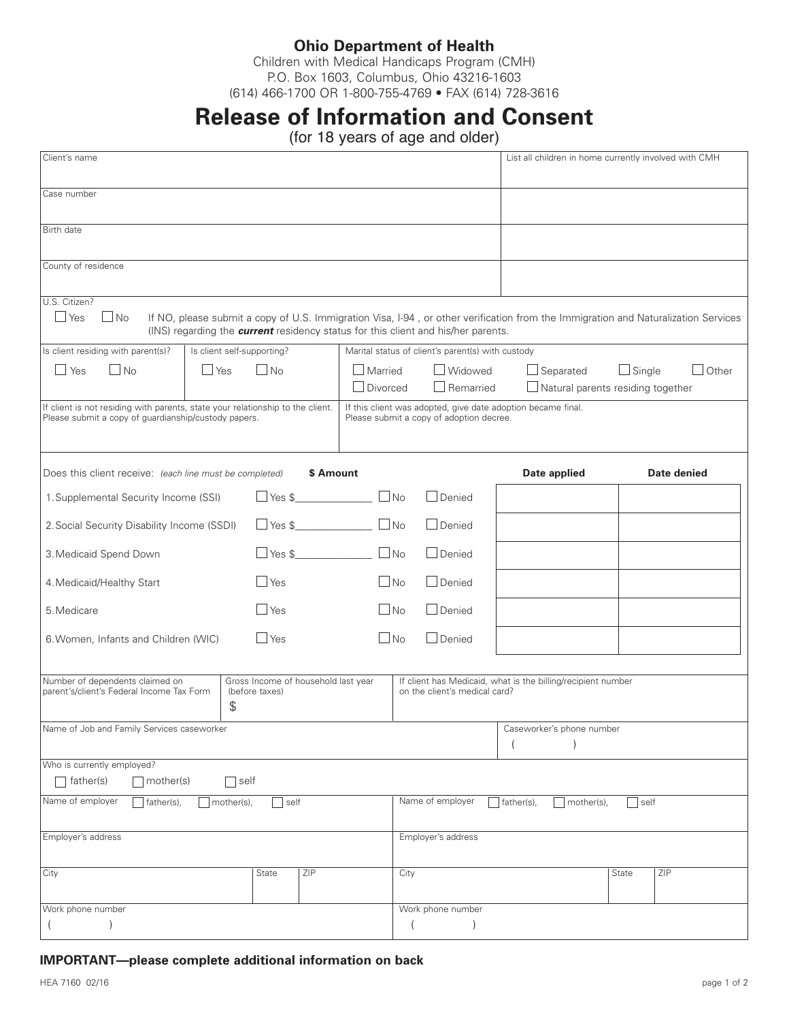## **Ohio Department of Health**

Children with Medical Handicaps Program (CMH) P.O. Box 1603, Columbus, Ohio 43216-1603 (614) 466-1700 OR 1-800-755-4769 • FAX (614) 728-3616

## **Release of Information and Consent**

(for 18 years of age and older)

| Client's name                                                                                                                                                                                                                                      |                         |            |               |                                                                    |                                                   |                                                                                          | List all children in home currently involved with CMH                                                                              |                |             |
|----------------------------------------------------------------------------------------------------------------------------------------------------------------------------------------------------------------------------------------------------|-------------------------|------------|---------------|--------------------------------------------------------------------|---------------------------------------------------|------------------------------------------------------------------------------------------|------------------------------------------------------------------------------------------------------------------------------------|----------------|-------------|
| Case number                                                                                                                                                                                                                                        |                         |            |               |                                                                    |                                                   |                                                                                          |                                                                                                                                    |                |             |
| Birth date                                                                                                                                                                                                                                         |                         |            |               |                                                                    |                                                   |                                                                                          |                                                                                                                                    |                |             |
| County of residence                                                                                                                                                                                                                                |                         |            |               |                                                                    |                                                   |                                                                                          |                                                                                                                                    |                |             |
| U.S. Citizen?<br>$\Box$ Yes<br>$\Box$ No                                                                                                                                                                                                           |                         |            |               |                                                                    |                                                   | (INS) regarding the <b>current</b> residency status for this client and his/her parents. | If NO, please submit a copy of U.S. Immigration Visa, I-94, or other verification from the Immigration and Naturalization Services |                |             |
| Is client self-supporting?<br>Is client residing with parent(s)?                                                                                                                                                                                   |                         |            |               |                                                                    | Marital status of client's parent(s) with custody |                                                                                          |                                                                                                                                    |                |             |
| INo<br>l Yes                                                                                                                                                                                                                                       | $\Box$ No<br>$\Box$ Yes |            |               | □ Widowed<br>$\Box$ Married<br>$\Box$ Divorced<br>$\Box$ Remarried |                                                   |                                                                                          | $\Box$ Separated<br>$\Box$ Single<br>$\Box$ Other<br>$\Box$ Natural parents residing together                                      |                |             |
| If client is not residing with parents, state your relationship to the client.<br>If this client was adopted, give date adoption became final.<br>Please submit a copy of guardianship/custody papers.<br>Please submit a copy of adoption decree. |                         |            |               |                                                                    |                                                   |                                                                                          |                                                                                                                                    |                |             |
| Does this client receive: (each line must be completed)                                                                                                                                                                                            |                         |            | \$ Amount     |                                                                    |                                                   |                                                                                          | Date applied                                                                                                                       |                | Date denied |
| 1. Supplemental Security Income (SSI)                                                                                                                                                                                                              |                         |            |               | $\Box$ Yes \$                                                      |                                                   | $\Box$ Denied                                                                            |                                                                                                                                    |                |             |
| 2. Social Security Disability Income (SSDI)                                                                                                                                                                                                        |                         |            |               |                                                                    |                                                   | $\Box$ Denied                                                                            |                                                                                                                                    |                |             |
| 3. Medicaid Spend Down                                                                                                                                                                                                                             |                         |            | $\Box$ Yes \$ | $\Box$ No                                                          |                                                   | $\Box$ Denied                                                                            |                                                                                                                                    |                |             |
| 4. Medicaid/Healthy Start                                                                                                                                                                                                                          |                         | $\Box$ Yes |               | $\Box$ No                                                          |                                                   | $\Box$ Denied                                                                            |                                                                                                                                    |                |             |
| 5. Medicare                                                                                                                                                                                                                                        |                         | $\Box$ Yes |               | $\Box$ No                                                          |                                                   | $\Box$ Denied                                                                            |                                                                                                                                    |                |             |
| $\Box$ Yes<br>6. Women, Infants and Children (WIC)                                                                                                                                                                                                 |                         |            |               |                                                                    | $\Box$ No                                         | $\Box$ Denied                                                                            |                                                                                                                                    |                |             |
| Gross Income of household last year<br>Number of dependents claimed on<br>If client has Medicaid, what is the billing/recipient number<br>parent's/client's Federal Income Tax Form<br>on the client's medical card?<br>(before taxes)<br>\$       |                         |            |               |                                                                    |                                                   |                                                                                          |                                                                                                                                    |                |             |
| Name of Job and Family Services caseworker                                                                                                                                                                                                         |                         |            |               |                                                                    |                                                   |                                                                                          | Caseworker's phone number                                                                                                          |                |             |
| Who is currently employed?                                                                                                                                                                                                                         |                         |            |               |                                                                    |                                                   |                                                                                          |                                                                                                                                    |                |             |
| $\exists$ father(s)<br>$\Box$ mother(s)<br>$\bigcap$ self                                                                                                                                                                                          |                         |            |               |                                                                    |                                                   |                                                                                          |                                                                                                                                    |                |             |
| Name of employer<br>father(s),                                                                                                                                                                                                                     | mother(s),              | self       |               |                                                                    |                                                   | Name of employer                                                                         | father(s),<br>mother(s),                                                                                                           | $\exists$ self |             |
| Employer's address                                                                                                                                                                                                                                 |                         |            |               |                                                                    | Employer's address                                |                                                                                          |                                                                                                                                    |                |             |
| City                                                                                                                                                                                                                                               |                         | State      | ZIP           |                                                                    | City                                              |                                                                                          |                                                                                                                                    | State          | ZIP         |
| Work phone number                                                                                                                                                                                                                                  |                         |            |               |                                                                    |                                                   | Work phone number                                                                        |                                                                                                                                    |                |             |

## **IMPORTANT—please complete additional information on back**